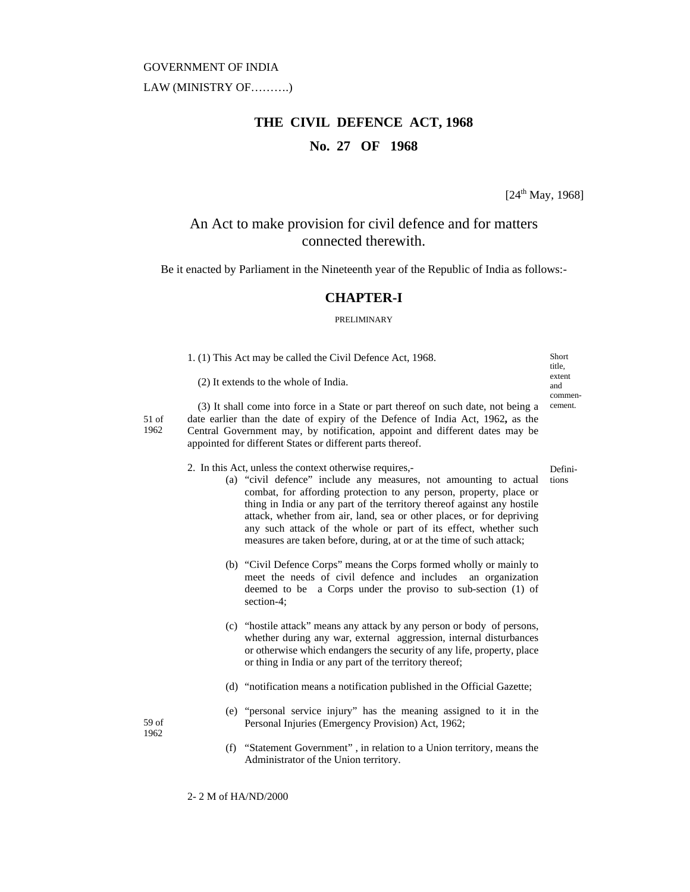#### GOVERNMENT OF INDIA

LAW (MINISTRY OF……….)

# **THE CIVIL DEFENCE ACT, 1968 No. 27 OF 1968**

 $[24<sup>th</sup> May, 1968]$ 

## An Act to make provision for civil defence and for matters connected therewith.

Be it enacted by Parliament in the Nineteenth year of the Republic of India as follows:-

#### **CHAPTER-I**

#### PRELIMINARY

|                 | 1. (1) This Act may be called the Civil Defence Act, 1968.                                                                                                                                                                                                                                                       |                                                                                                                                                                                                                                                                                                                                                                                                                                                                                                    | Short<br>title.  |
|-----------------|------------------------------------------------------------------------------------------------------------------------------------------------------------------------------------------------------------------------------------------------------------------------------------------------------------------|----------------------------------------------------------------------------------------------------------------------------------------------------------------------------------------------------------------------------------------------------------------------------------------------------------------------------------------------------------------------------------------------------------------------------------------------------------------------------------------------------|------------------|
|                 | (2) It extends to the whole of India.                                                                                                                                                                                                                                                                            |                                                                                                                                                                                                                                                                                                                                                                                                                                                                                                    |                  |
| $51$ of<br>1962 | (3) It shall come into force in a State or part thereof on such date, not being a<br>date earlier than the date of expiry of the Defence of India Act, 1962, as the<br>Central Government may, by notification, appoint and different dates may be<br>appointed for different States or different parts thereof. |                                                                                                                                                                                                                                                                                                                                                                                                                                                                                                    |                  |
|                 |                                                                                                                                                                                                                                                                                                                  | 2. In this Act, unless the context otherwise requires,-<br>(a) "civil defence" include any measures, not amounting to actual<br>combat, for affording protection to any person, property, place or<br>thing in India or any part of the territory thereof against any hostile<br>attack, whether from air, land, sea or other places, or for depriving<br>any such attack of the whole or part of its effect, whether such<br>measures are taken before, during, at or at the time of such attack; | Defini-<br>tions |
|                 |                                                                                                                                                                                                                                                                                                                  | (b) "Civil Defence Corps" means the Corps formed wholly or mainly to<br>meet the needs of civil defence and includes an organization<br>deemed to be a Corps under the proviso to sub-section (1) of<br>section-4;                                                                                                                                                                                                                                                                                 |                  |
|                 |                                                                                                                                                                                                                                                                                                                  | (c) "hostile attack" means any attack by any person or body of persons,<br>whether during any war, external aggression, internal disturbances<br>or otherwise which endangers the security of any life, property, place<br>or thing in India or any part of the territory thereof;                                                                                                                                                                                                                 |                  |
|                 |                                                                                                                                                                                                                                                                                                                  | (d) "notification means a notification published in the Official Gazette;                                                                                                                                                                                                                                                                                                                                                                                                                          |                  |
| 59 of<br>1962   |                                                                                                                                                                                                                                                                                                                  | (e) "personal service injury" has the meaning assigned to it in the<br>Personal Injuries (Emergency Provision) Act, 1962;                                                                                                                                                                                                                                                                                                                                                                          |                  |
|                 |                                                                                                                                                                                                                                                                                                                  | (f) "Statement Covernment" in relation to a Union territory means the                                                                                                                                                                                                                                                                                                                                                                                                                              |                  |

(f) "Statement Government" , in relation to a Union territory, means the Administrator of the Union territory.

2- 2 M of HA/ND/2000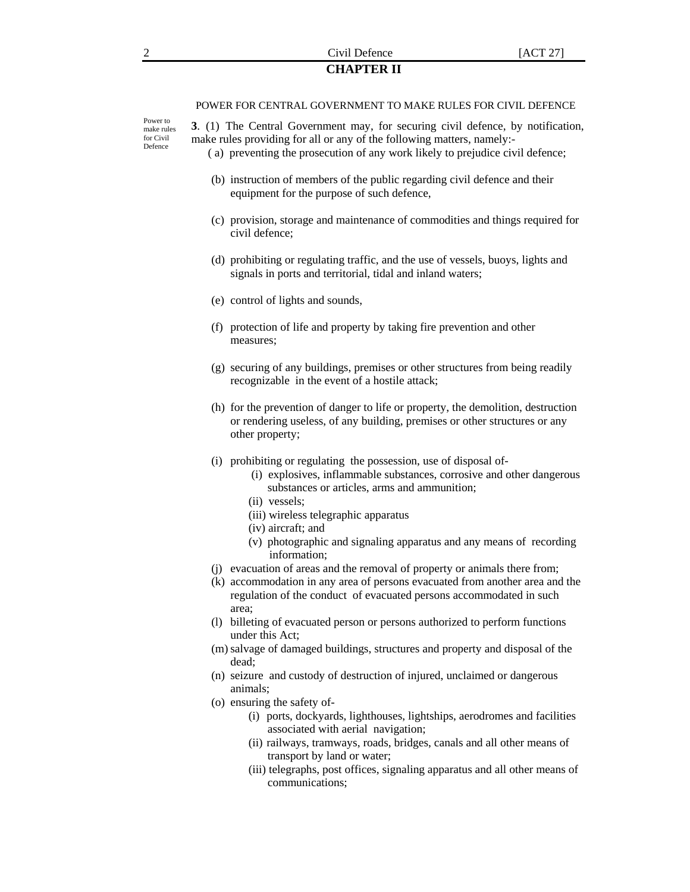#### 2 Civil Defence [ACT 27] **CHAPTER II**

#### POWER FOR CENTRAL GOVERNMENT TO MAKE RULES FOR CIVIL DEFENCE

Power to make rules for Civil Defence

**3**. (1) The Central Government may, for securing civil defence, by notification, make rules providing for all or any of the following matters, namely:-

- ( a) preventing the prosecution of any work likely to prejudice civil defence;
- (b) instruction of members of the public regarding civil defence and their equipment for the purpose of such defence,
- (c) provision, storage and maintenance of commodities and things required for civil defence;
- (d) prohibiting or regulating traffic, and the use of vessels, buoys, lights and signals in ports and territorial, tidal and inland waters;
- (e) control of lights and sounds,
- (f) protection of life and property by taking fire prevention and other measures;
- (g) securing of any buildings, premises or other structures from being readily recognizable in the event of a hostile attack;
- (h) for the prevention of danger to life or property, the demolition, destruction or rendering useless, of any building, premises or other structures or any other property;
- (i) prohibiting or regulating the possession, use of disposal of-
	- (i) explosives, inflammable substances, corrosive and other dangerous substances or articles, arms and ammunition;
	- (ii) vessels;
	- (iii) wireless telegraphic apparatus
	- (iv) aircraft; and
	- (v) photographic and signaling apparatus and any means of recording information;
- (j) evacuation of areas and the removal of property or animals there from;
- (k) accommodation in any area of persons evacuated from another area and the regulation of the conduct of evacuated persons accommodated in such area;
- (l) billeting of evacuated person or persons authorized to perform functions under this Act;
- (m) salvage of damaged buildings, structures and property and disposal of the dead;
- (n) seizure and custody of destruction of injured, unclaimed or dangerous animals;
- (o) ensuring the safety of-
	- (i) ports, dockyards, lighthouses, lightships, aerodromes and facilities associated with aerial navigation;
	- (ii) railways, tramways, roads, bridges, canals and all other means of transport by land or water;
	- (iii) telegraphs, post offices, signaling apparatus and all other means of communications;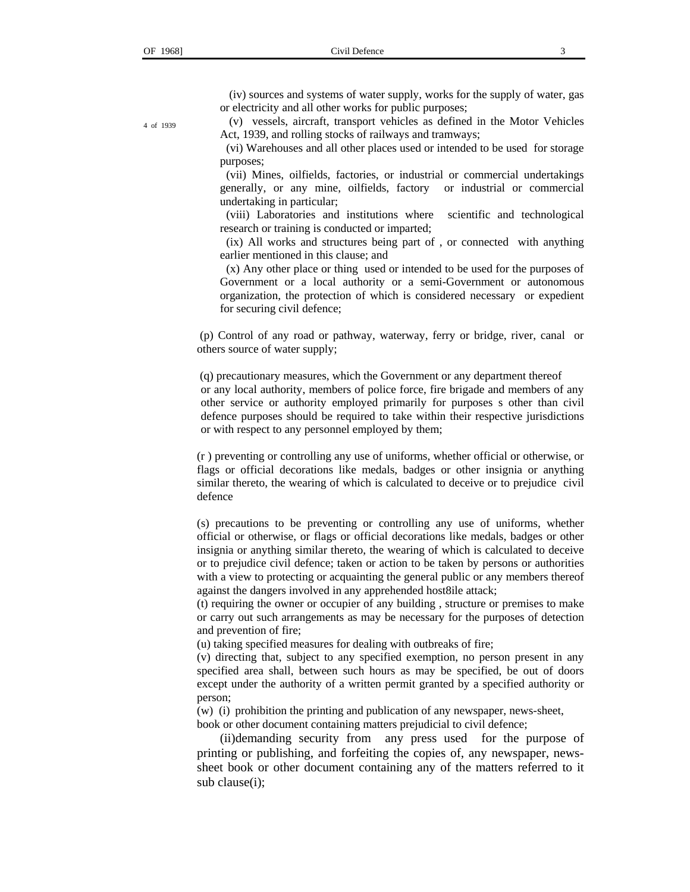(iv) sources and systems of water supply, works for the supply of water, gas or electricity and all other works for public purposes;

 (v) vessels, aircraft, transport vehicles as defined in the Motor Vehicles Act, 1939, and rolling stocks of railways and tramways;

 (vi) Warehouses and all other places used or intended to be used for storage purposes;

 (vii) Mines, oilfields, factories, or industrial or commercial undertakings generally, or any mine, oilfields, factory or industrial or commercial undertaking in particular;

 (viii) Laboratories and institutions where scientific and technological research or training is conducted or imparted;

 (ix) All works and structures being part of , or connected with anything earlier mentioned in this clause; and

 (x) Any other place or thing used or intended to be used for the purposes of Government or a local authority or a semi-Government or autonomous organization, the protection of which is considered necessary or expedient for securing civil defence;

 (p) Control of any road or pathway, waterway, ferry or bridge, river, canal or others source of water supply;

 (q) precautionary measures, which the Government or any department thereof or any local authority, members of police force, fire brigade and members of any other service or authority employed primarily for purposes s other than civil defence purposes should be required to take within their respective jurisdictions or with respect to any personnel employed by them;

(r ) preventing or controlling any use of uniforms, whether official or otherwise, or flags or official decorations like medals, badges or other insignia or anything similar thereto, the wearing of which is calculated to deceive or to prejudice civil defence

(s) precautions to be preventing or controlling any use of uniforms, whether official or otherwise, or flags or official decorations like medals, badges or other insignia or anything similar thereto, the wearing of which is calculated to deceive or to prejudice civil defence; taken or action to be taken by persons or authorities with a view to protecting or acquainting the general public or any members thereof against the dangers involved in any apprehended host8ile attack;

(t) requiring the owner or occupier of any building , structure or premises to make or carry out such arrangements as may be necessary for the purposes of detection and prevention of fire;

(u) taking specified measures for dealing with outbreaks of fire;

(v) directing that, subject to any specified exemption, no person present in any specified area shall, between such hours as may be specified, be out of doors except under the authority of a written permit granted by a specified authority or person;

(w) (i) prohibition the printing and publication of any newspaper, news-sheet, book or other document containing matters prejudicial to civil defence;

 (ii)demanding security from any press used for the purpose of printing or publishing, and forfeiting the copies of, any newspaper, newssheet book or other document containing any of the matters referred to it sub clause(i);

4 of 1939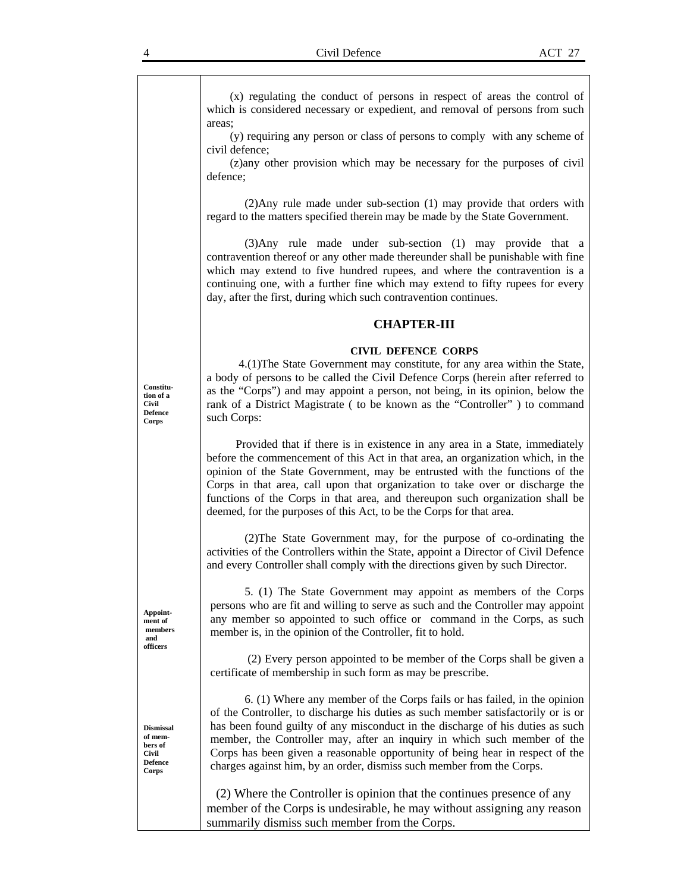(x) regulating the conduct of persons in respect of areas the control of which is considered necessary or expedient, and removal of persons from such areas;

 (y) requiring any person or class of persons to comply with any scheme of civil defence;

 (z)any other provision which may be necessary for the purposes of civil defence;

(2)Any rule made under sub-section (1) may provide that orders with regard to the matters specified therein may be made by the State Government.

(3)Any rule made under sub-section (1) may provide that a contravention thereof or any other made thereunder shall be punishable with fine which may extend to five hundred rupees, and where the contravention is a continuing one, with a further fine which may extend to fifty rupees for every day, after the first, during which such contravention continues.

#### **CHAPTER-III**

#### **CIVIL DEFENCE CORPS**

 4.(1)The State Government may constitute, for any area within the State, a body of persons to be called the Civil Defence Corps (herein after referred to as the "Corps") and may appoint a person, not being, in its opinion, below the rank of a District Magistrate ( to be known as the "Controller" ) to command such Corps:

 Provided that if there is in existence in any area in a State, immediately before the commencement of this Act in that area, an organization which, in the opinion of the State Government, may be entrusted with the functions of the Corps in that area, call upon that organization to take over or discharge the functions of the Corps in that area, and thereupon such organization shall be deemed, for the purposes of this Act, to be the Corps for that area.

(2)The State Government may, for the purpose of co-ordinating the activities of the Controllers within the State, appoint a Director of Civil Defence and every Controller shall comply with the directions given by such Director.

5. (1) The State Government may appoint as members of the Corps persons who are fit and willing to serve as such and the Controller may appoint any member so appointed to such office or command in the Corps, as such member is, in the opinion of the Controller, fit to hold.

 (2) Every person appointed to be member of the Corps shall be given a certificate of membership in such form as may be prescribe.

6. (1) Where any member of the Corps fails or has failed, in the opinion of the Controller, to discharge his duties as such member satisfactorily or is or has been found guilty of any misconduct in the discharge of his duties as such member, the Controller may, after an inquiry in which such member of the Corps has been given a reasonable opportunity of being hear in respect of the charges against him, by an order, dismiss such member from the Corps.

 (2) Where the Controller is opinion that the continues presence of any member of the Corps is undesirable, he may without assigning any reason summarily dismiss such member from the Corps.

**Constitution of a Civil Defence Corps** 

**Appointment of members and officers** 

**Dismissal of members of Civil Defence Corps**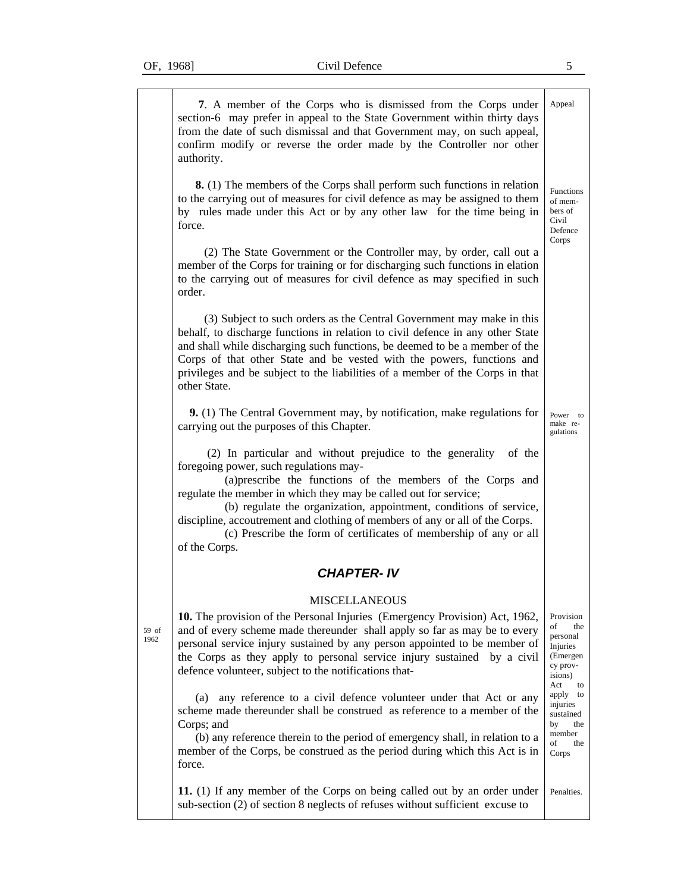59 of 1962

| 7. A member of the Corps who is dismissed from the Corps under<br>section-6 may prefer in appeal to the State Government within thirty days<br>from the date of such dismissal and that Government may, on such appeal,<br>confirm modify or reverse the order made by the Controller nor other<br>authority.                                                                                                                                                                                 | Appeal                                                                                          |
|-----------------------------------------------------------------------------------------------------------------------------------------------------------------------------------------------------------------------------------------------------------------------------------------------------------------------------------------------------------------------------------------------------------------------------------------------------------------------------------------------|-------------------------------------------------------------------------------------------------|
| <b>8.</b> (1) The members of the Corps shall perform such functions in relation<br>to the carrying out of measures for civil defence as may be assigned to them<br>by rules made under this Act or by any other law for the time being in<br>force.                                                                                                                                                                                                                                           | <b>Functions</b><br>of mem-<br>bers of<br>Civil<br>Defence<br>Corps                             |
| (2) The State Government or the Controller may, by order, call out a<br>member of the Corps for training or for discharging such functions in elation<br>to the carrying out of measures for civil defence as may specified in such<br>order.                                                                                                                                                                                                                                                 |                                                                                                 |
| (3) Subject to such orders as the Central Government may make in this<br>behalf, to discharge functions in relation to civil defence in any other State<br>and shall while discharging such functions, be deemed to be a member of the<br>Corps of that other State and be vested with the powers, functions and<br>privileges and be subject to the liabilities of a member of the Corps in that<br>other State.                                                                             |                                                                                                 |
| 9. (1) The Central Government may, by notification, make regulations for<br>carrying out the purposes of this Chapter.                                                                                                                                                                                                                                                                                                                                                                        | Power<br>to<br>make re-<br>gulations                                                            |
| (2) In particular and without prejudice to the generality<br>of the<br>foregoing power, such regulations may-<br>(a) prescribe the functions of the members of the Corps and<br>regulate the member in which they may be called out for service;<br>(b) regulate the organization, appointment, conditions of service,<br>discipline, accoutrement and clothing of members of any or all of the Corps.<br>(c) Prescribe the form of certificates of membership of any or all<br>of the Corps. |                                                                                                 |
| <b>CHAPTER-IV</b>                                                                                                                                                                                                                                                                                                                                                                                                                                                                             |                                                                                                 |
| <b>MISCELLANEOUS</b>                                                                                                                                                                                                                                                                                                                                                                                                                                                                          |                                                                                                 |
| 10. The provision of the Personal Injuries (Emergency Provision) Act, 1962,<br>and of every scheme made thereunder shall apply so far as may be to every<br>personal service injury sustained by any person appointed to be member of<br>the Corps as they apply to personal service injury sustained by a civil<br>defence volunteer, subject to the notifications that-                                                                                                                     | Provision<br>of<br>the<br>personal<br>Injuries<br>(Emergen)<br>cy prov-<br>isions)<br>Act<br>to |
| any reference to a civil defence volunteer under that Act or any<br>(a)<br>scheme made thereunder shall be construed as reference to a member of the<br>Corps; and<br>(b) any reference therein to the period of emergency shall, in relation to a<br>member of the Corps, be construed as the period during which this Act is in<br>force.                                                                                                                                                   | apply to<br>injuries<br>sustained<br>by<br>the<br>member<br>of<br>the<br>Corps                  |
| 11. (1) If any member of the Corps on being called out by an order under<br>sub-section (2) of section 8 neglects of refuses without sufficient excuse to                                                                                                                                                                                                                                                                                                                                     | Penalties.                                                                                      |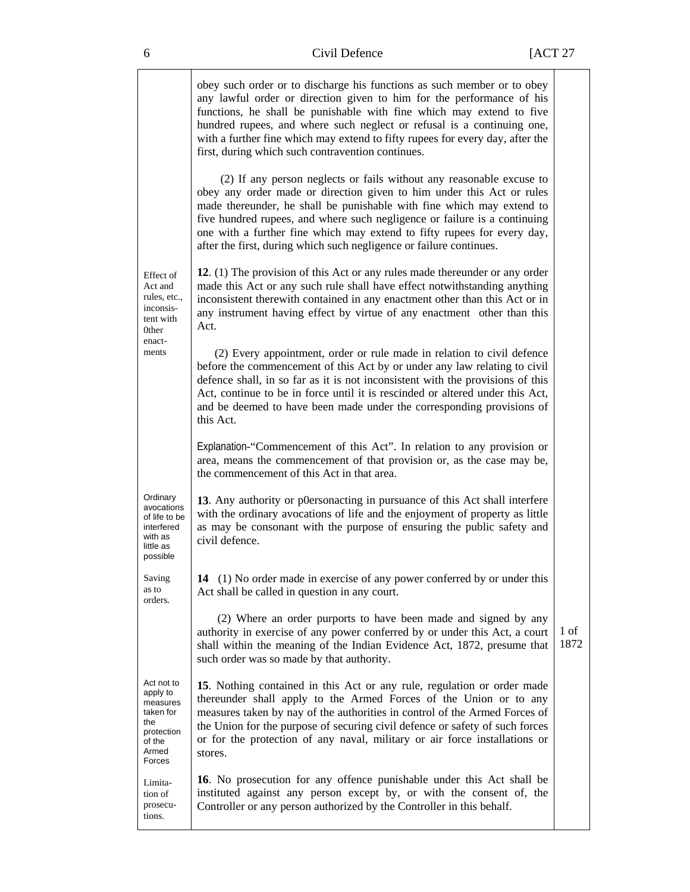|                                                                                                   | obey such order or to discharge his functions as such member or to obey<br>any lawful order or direction given to him for the performance of his<br>functions, he shall be punishable with fine which may extend to five<br>hundred rupees, and where such neglect or refusal is a continuing one,<br>with a further fine which may extend to fifty rupees for every day, after the<br>first, during which such contravention continues.              |              |
|---------------------------------------------------------------------------------------------------|-------------------------------------------------------------------------------------------------------------------------------------------------------------------------------------------------------------------------------------------------------------------------------------------------------------------------------------------------------------------------------------------------------------------------------------------------------|--------------|
|                                                                                                   | (2) If any person neglects or fails without any reasonable excuse to<br>obey any order made or direction given to him under this Act or rules<br>made thereunder, he shall be punishable with fine which may extend to<br>five hundred rupees, and where such negligence or failure is a continuing<br>one with a further fine which may extend to fifty rupees for every day,<br>after the first, during which such negligence or failure continues. |              |
| Effect of<br>Act and<br>rules, etc.,<br>inconsis-<br>tent with<br>0ther                           | 12. (1) The provision of this Act or any rules made thereunder or any order<br>made this Act or any such rule shall have effect notwithstanding anything<br>inconsistent therewith contained in any enactment other than this Act or in<br>any instrument having effect by virtue of any enactment other than this<br>Act.                                                                                                                            |              |
| enact-<br>ments                                                                                   | (2) Every appointment, order or rule made in relation to civil defence<br>before the commencement of this Act by or under any law relating to civil<br>defence shall, in so far as it is not inconsistent with the provisions of this<br>Act, continue to be in force until it is rescinded or altered under this Act,<br>and be deemed to have been made under the corresponding provisions of<br>this Act.                                          |              |
|                                                                                                   | Explanation-"Commencement of this Act". In relation to any provision or<br>area, means the commencement of that provision or, as the case may be,<br>the commencement of this Act in that area.                                                                                                                                                                                                                                                       |              |
| Ordinary<br>avocations<br>of life to be<br>interfered<br>with as<br>little as<br>possible         | 13. Any authority or p0ersonacting in pursuance of this Act shall interfere<br>with the ordinary avocations of life and the enjoyment of property as little<br>as may be consonant with the purpose of ensuring the public safety and<br>civil defence.                                                                                                                                                                                               |              |
| Saving<br>as to<br>orders.                                                                        | 14 (1) No order made in exercise of any power conferred by or under this<br>Act shall be called in question in any court.                                                                                                                                                                                                                                                                                                                             |              |
|                                                                                                   | (2) Where an order purports to have been made and signed by any<br>authority in exercise of any power conferred by or under this Act, a court<br>shall within the meaning of the Indian Evidence Act, 1872, presume that<br>such order was so made by that authority.                                                                                                                                                                                 | 1 of<br>1872 |
| Act not to<br>apply to<br>measures<br>taken for<br>the<br>protection<br>of the<br>Armed<br>Forces | 15. Nothing contained in this Act or any rule, regulation or order made<br>thereunder shall apply to the Armed Forces of the Union or to any<br>measures taken by nay of the authorities in control of the Armed Forces of<br>the Union for the purpose of securing civil defence or safety of such forces<br>or for the protection of any naval, military or air force installations or<br>stores.                                                   |              |
| Limita-<br>tion of<br>prosecu-<br>tions.                                                          | 16. No prosecution for any offence punishable under this Act shall be<br>instituted against any person except by, or with the consent of, the<br>Controller or any person authorized by the Controller in this behalf.                                                                                                                                                                                                                                |              |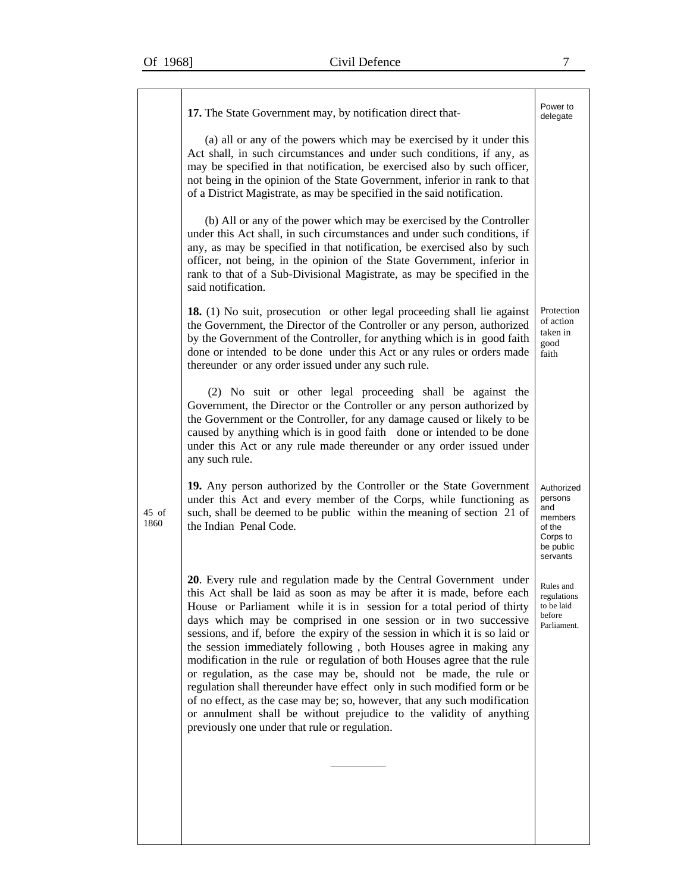|               | 17. The State Government may, by notification direct that-<br>(a) all or any of the powers which may be exercised by it under this<br>Act shall, in such circumstances and under such conditions, if any, as<br>may be specified in that notification, be exercised also by such officer,<br>not being in the opinion of the State Government, inferior in rank to that<br>of a District Magistrate, as may be specified in the said notification.                                                                                                                                                                                                                                                                                                                                                                                                                                   | Power to<br>delegate                                                                   |
|---------------|--------------------------------------------------------------------------------------------------------------------------------------------------------------------------------------------------------------------------------------------------------------------------------------------------------------------------------------------------------------------------------------------------------------------------------------------------------------------------------------------------------------------------------------------------------------------------------------------------------------------------------------------------------------------------------------------------------------------------------------------------------------------------------------------------------------------------------------------------------------------------------------|----------------------------------------------------------------------------------------|
|               | (b) All or any of the power which may be exercised by the Controller<br>under this Act shall, in such circumstances and under such conditions, if<br>any, as may be specified in that notification, be exercised also by such<br>officer, not being, in the opinion of the State Government, inferior in<br>rank to that of a Sub-Divisional Magistrate, as may be specified in the<br>said notification.                                                                                                                                                                                                                                                                                                                                                                                                                                                                            |                                                                                        |
|               | 18. (1) No suit, prosecution or other legal proceeding shall lie against<br>the Government, the Director of the Controller or any person, authorized<br>by the Government of the Controller, for anything which is in good faith<br>done or intended to be done under this Act or any rules or orders made<br>thereunder or any order issued under any such rule.                                                                                                                                                                                                                                                                                                                                                                                                                                                                                                                    | Protection<br>of action<br>taken in<br>good<br>faith                                   |
|               | (2) No suit or other legal proceeding shall be against the<br>Government, the Director or the Controller or any person authorized by<br>the Government or the Controller, for any damage caused or likely to be<br>caused by anything which is in good faith done or intended to be done<br>under this Act or any rule made thereunder or any order issued under<br>any such rule.                                                                                                                                                                                                                                                                                                                                                                                                                                                                                                   |                                                                                        |
| 45 of<br>1860 | 19. Any person authorized by the Controller or the State Government<br>under this Act and every member of the Corps, while functioning as<br>such, shall be deemed to be public within the meaning of section 21 of<br>the Indian Penal Code.                                                                                                                                                                                                                                                                                                                                                                                                                                                                                                                                                                                                                                        | Authorized<br>persons<br>and<br>members<br>of the<br>Corps to<br>be public<br>servants |
|               | 20. Every rule and regulation made by the Central Government under<br>this Act shall be laid as soon as may be after it is made, before each<br>House or Parliament while it is in session for a total period of thirty<br>days which may be comprised in one session or in two successive<br>sessions, and if, before the expiry of the session in which it is so laid or<br>the session immediately following, both Houses agree in making any<br>modification in the rule or regulation of both Houses agree that the rule<br>or regulation, as the case may be, should not be made, the rule or<br>regulation shall thereunder have effect only in such modified form or be<br>of no effect, as the case may be; so, however, that any such modification<br>or annulment shall be without prejudice to the validity of anything<br>previously one under that rule or regulation. | Rules and<br>regulations<br>to be laid<br>before<br>Parliament.                        |
|               |                                                                                                                                                                                                                                                                                                                                                                                                                                                                                                                                                                                                                                                                                                                                                                                                                                                                                      |                                                                                        |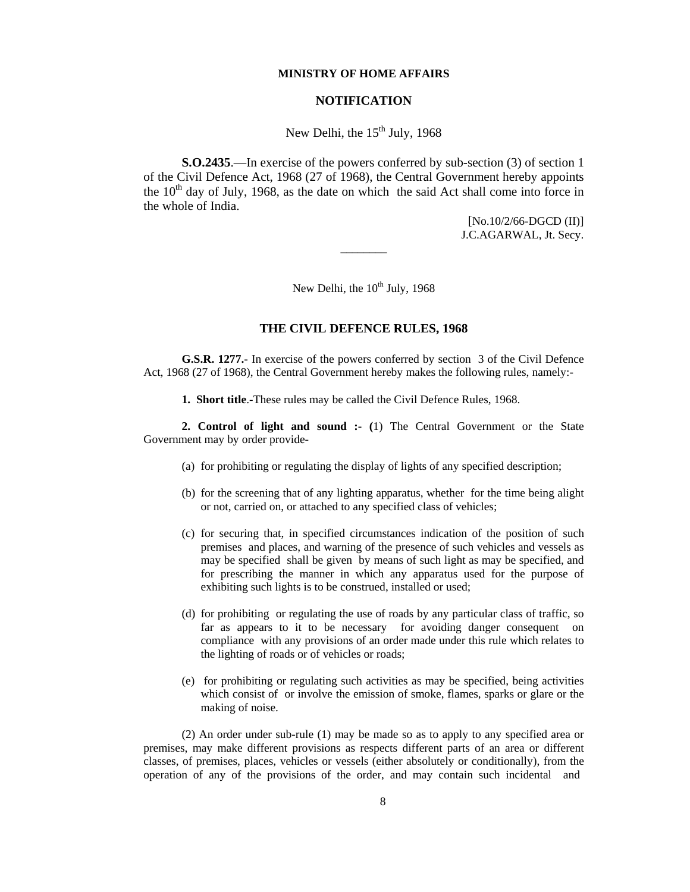#### **MINISTRY OF HOME AFFAIRS**

### **NOTIFICATION**

## New Delhi, the  $15<sup>th</sup>$  July, 1968

**S.O.2435**.—In exercise of the powers conferred by sub-section (3) of section 1 of the Civil Defence Act, 1968 (27 of 1968), the Central Government hereby appoints the  $10<sup>th</sup>$  day of July, 1968, as the date on which the said Act shall come into force in the whole of India.

> [No.10/2/66-DGCD (II)] J.C.AGARWAL, Jt. Secy.

New Delhi, the  $10^{th}$  July, 1968

 $\overline{\phantom{a}}$   $\overline{\phantom{a}}$   $\overline{\phantom{a}}$   $\overline{\phantom{a}}$   $\overline{\phantom{a}}$   $\overline{\phantom{a}}$   $\overline{\phantom{a}}$   $\overline{\phantom{a}}$   $\overline{\phantom{a}}$   $\overline{\phantom{a}}$   $\overline{\phantom{a}}$   $\overline{\phantom{a}}$   $\overline{\phantom{a}}$   $\overline{\phantom{a}}$   $\overline{\phantom{a}}$   $\overline{\phantom{a}}$   $\overline{\phantom{a}}$   $\overline{\phantom{a}}$   $\overline{\$ 

#### **THE CIVIL DEFENCE RULES, 1968**

**G.S.R. 1277.-** In exercise of the powers conferred by section 3 of the Civil Defence Act, 1968 (27 of 1968), the Central Government hereby makes the following rules, namely:-

**1. Short title**.-These rules may be called the Civil Defence Rules, 1968.

**2. Control of light and sound :- (**1) The Central Government or the State Government may by order provide-

- (a) for prohibiting or regulating the display of lights of any specified description;
- (b) for the screening that of any lighting apparatus, whether for the time being alight or not, carried on, or attached to any specified class of vehicles;
- (c) for securing that, in specified circumstances indication of the position of such premises and places, and warning of the presence of such vehicles and vessels as may be specified shall be given by means of such light as may be specified, and for prescribing the manner in which any apparatus used for the purpose of exhibiting such lights is to be construed, installed or used;
- (d) for prohibiting or regulating the use of roads by any particular class of traffic, so far as appears to it to be necessary for avoiding danger consequent on compliance with any provisions of an order made under this rule which relates to the lighting of roads or of vehicles or roads;
- (e) for prohibiting or regulating such activities as may be specified, being activities which consist of or involve the emission of smoke, flames, sparks or glare or the making of noise.

(2) An order under sub-rule (1) may be made so as to apply to any specified area or premises, may make different provisions as respects different parts of an area or different classes, of premises, places, vehicles or vessels (either absolutely or conditionally), from the operation of any of the provisions of the order, and may contain such incidental and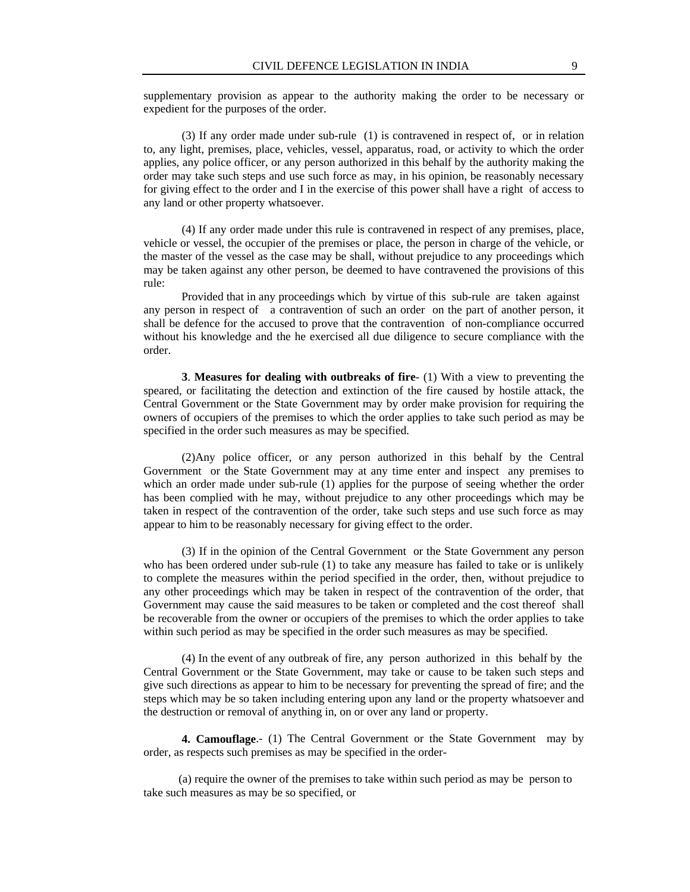supplementary provision as appear to the authority making the order to be necessary or expedient for the purposes of the order.

(3) If any order made under sub-rule (1) is contravened in respect of, or in relation to, any light, premises, place, vehicles, vessel, apparatus, road, or activity to which the order applies, any police officer, or any person authorized in this behalf by the authority making the order may take such steps and use such force as may, in his opinion, be reasonably necessary for giving effect to the order and I in the exercise of this power shall have a right of access to any land or other property whatsoever.

(4) If any order made under this rule is contravened in respect of any premises, place, vehicle or vessel, the occupier of the premises or place, the person in charge of the vehicle, or the master of the vessel as the case may be shall, without prejudice to any proceedings which may be taken against any other person, be deemed to have contravened the provisions of this rule:

 Provided that in any proceedings which by virtue of this sub-rule are taken against any person in respect of a contravention of such an order on the part of another person, it shall be defence for the accused to prove that the contravention of non-compliance occurred without his knowledge and the he exercised all due diligence to secure compliance with the order.

**3**. **Measures for dealing with outbreaks of fire**- (1) With a view to preventing the speared, or facilitating the detection and extinction of the fire caused by hostile attack, the Central Government or the State Government may by order make provision for requiring the owners of occupiers of the premises to which the order applies to take such period as may be specified in the order such measures as may be specified.

(2)Any police officer, or any person authorized in this behalf by the Central Government or the State Government may at any time enter and inspect any premises to which an order made under sub-rule (1) applies for the purpose of seeing whether the order has been complied with he may, without prejudice to any other proceedings which may be taken in respect of the contravention of the order, take such steps and use such force as may appear to him to be reasonably necessary for giving effect to the order.

(3) If in the opinion of the Central Government or the State Government any person who has been ordered under sub-rule (1) to take any measure has failed to take or is unlikely to complete the measures within the period specified in the order, then, without prejudice to any other proceedings which may be taken in respect of the contravention of the order, that Government may cause the said measures to be taken or completed and the cost thereof shall be recoverable from the owner or occupiers of the premises to which the order applies to take within such period as may be specified in the order such measures as may be specified.

(4) In the event of any outbreak of fire, any person authorized in this behalf by the Central Government or the State Government, may take or cause to be taken such steps and give such directions as appear to him to be necessary for preventing the spread of fire; and the steps which may be so taken including entering upon any land or the property whatsoever and the destruction or removal of anything in, on or over any land or property.

**4. Camouflage**.- (1) The Central Government or the State Government may by order, as respects such premises as may be specified in the order-

 (a) require the owner of the premises to take within such period as may be person to take such measures as may be so specified, or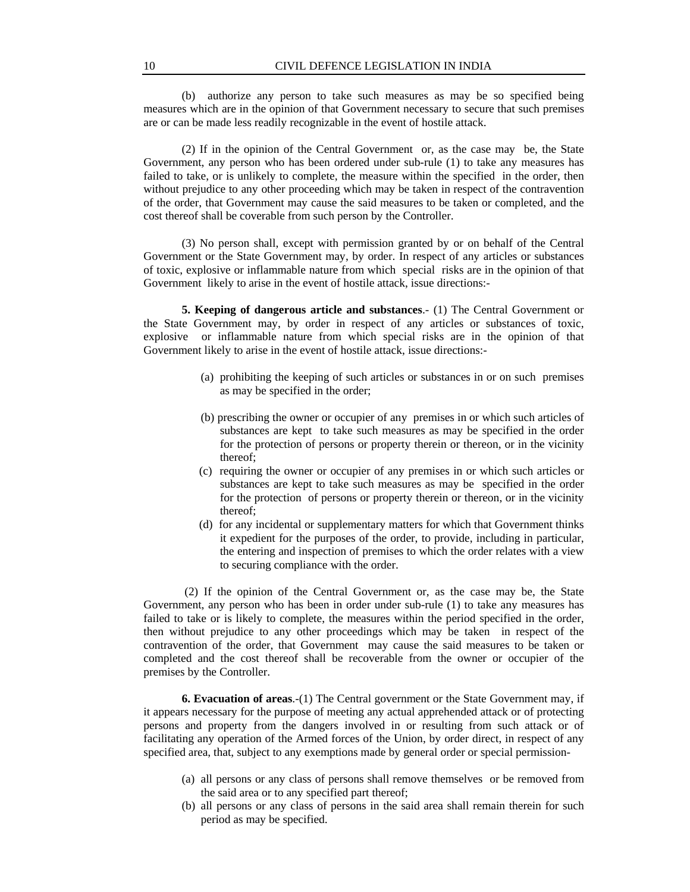(b) authorize any person to take such measures as may be so specified being measures which are in the opinion of that Government necessary to secure that such premises are or can be made less readily recognizable in the event of hostile attack.

(2) If in the opinion of the Central Government or, as the case may be, the State Government, any person who has been ordered under sub-rule (1) to take any measures has failed to take, or is unlikely to complete, the measure within the specified in the order, then without prejudice to any other proceeding which may be taken in respect of the contravention of the order, that Government may cause the said measures to be taken or completed, and the cost thereof shall be coverable from such person by the Controller.

(3) No person shall, except with permission granted by or on behalf of the Central Government or the State Government may, by order. In respect of any articles or substances of toxic, explosive or inflammable nature from which special risks are in the opinion of that Government likely to arise in the event of hostile attack, issue directions:-

**5. Keeping of dangerous article and substances**.- (1) The Central Government or the State Government may, by order in respect of any articles or substances of toxic, explosive or inflammable nature from which special risks are in the opinion of that Government likely to arise in the event of hostile attack, issue directions:-

- (a) prohibiting the keeping of such articles or substances in or on such premises as may be specified in the order;
- (b) prescribing the owner or occupier of any premises in or which such articles of substances are kept to take such measures as may be specified in the order for the protection of persons or property therein or thereon, or in the vicinity thereof;
- (c) requiring the owner or occupier of any premises in or which such articles or substances are kept to take such measures as may be specified in the order for the protection of persons or property therein or thereon, or in the vicinity thereof;
- (d) for any incidental or supplementary matters for which that Government thinks it expedient for the purposes of the order, to provide, including in particular, the entering and inspection of premises to which the order relates with a view to securing compliance with the order.

 (2) If the opinion of the Central Government or, as the case may be, the State Government, any person who has been in order under sub-rule (1) to take any measures has failed to take or is likely to complete, the measures within the period specified in the order, then without prejudice to any other proceedings which may be taken in respect of the contravention of the order, that Government may cause the said measures to be taken or completed and the cost thereof shall be recoverable from the owner or occupier of the premises by the Controller.

**6. Evacuation of areas**.-(1) The Central government or the State Government may, if it appears necessary for the purpose of meeting any actual apprehended attack or of protecting persons and property from the dangers involved in or resulting from such attack or of facilitating any operation of the Armed forces of the Union, by order direct, in respect of any specified area, that, subject to any exemptions made by general order or special permission-

- (a) all persons or any class of persons shall remove themselves or be removed from the said area or to any specified part thereof;
- (b) all persons or any class of persons in the said area shall remain therein for such period as may be specified.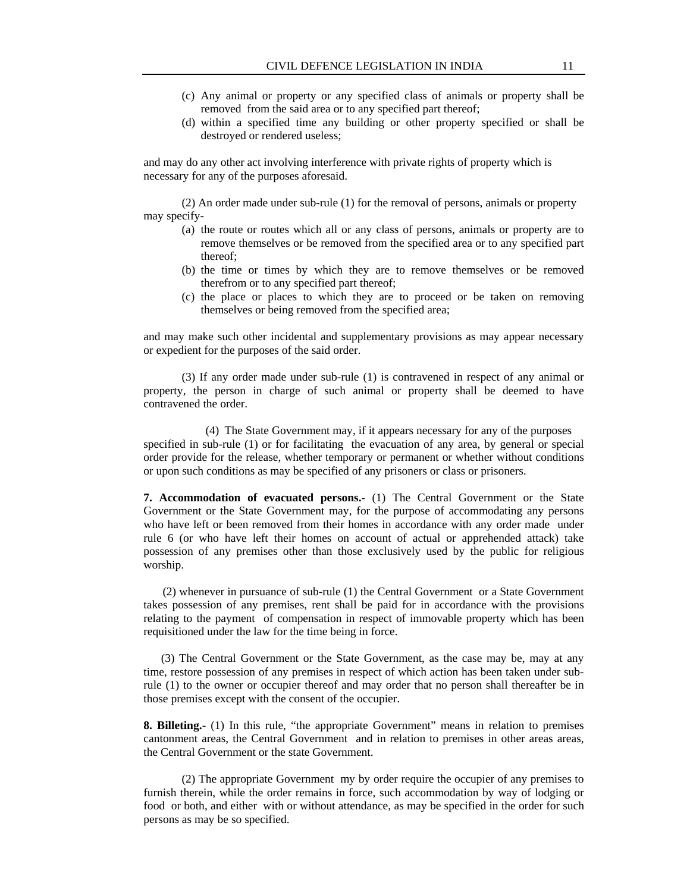- (c) Any animal or property or any specified class of animals or property shall be removed from the said area or to any specified part thereof;
- (d) within a specified time any building or other property specified or shall be destroyed or rendered useless;

and may do any other act involving interference with private rights of property which is necessary for any of the purposes aforesaid.

 (2) An order made under sub-rule (1) for the removal of persons, animals or property may specify-

- (a) the route or routes which all or any class of persons, animals or property are to remove themselves or be removed from the specified area or to any specified part thereof;
- (b) the time or times by which they are to remove themselves or be removed therefrom or to any specified part thereof;
- (c) the place or places to which they are to proceed or be taken on removing themselves or being removed from the specified area;

and may make such other incidental and supplementary provisions as may appear necessary or expedient for the purposes of the said order.

 (3) If any order made under sub-rule (1) is contravened in respect of any animal or property, the person in charge of such animal or property shall be deemed to have contravened the order.

(4) The State Government may, if it appears necessary for any of the purposes specified in sub-rule (1) or for facilitating the evacuation of any area, by general or special order provide for the release, whether temporary or permanent or whether without conditions or upon such conditions as may be specified of any prisoners or class or prisoners.

**7. Accommodation of evacuated persons.-** (1) The Central Government or the State Government or the State Government may, for the purpose of accommodating any persons who have left or been removed from their homes in accordance with any order made under rule 6 (or who have left their homes on account of actual or apprehended attack) take possession of any premises other than those exclusively used by the public for religious worship.

 (2) whenever in pursuance of sub-rule (1) the Central Government or a State Government takes possession of any premises, rent shall be paid for in accordance with the provisions relating to the payment of compensation in respect of immovable property which has been requisitioned under the law for the time being in force.

 (3) The Central Government or the State Government, as the case may be, may at any time, restore possession of any premises in respect of which action has been taken under subrule (1) to the owner or occupier thereof and may order that no person shall thereafter be in those premises except with the consent of the occupier.

**8. Billeting.**- (1) In this rule, "the appropriate Government" means in relation to premises cantonment areas, the Central Government and in relation to premises in other areas areas, the Central Government or the state Government.

(2) The appropriate Government my by order require the occupier of any premises to furnish therein, while the order remains in force, such accommodation by way of lodging or food or both, and either with or without attendance, as may be specified in the order for such persons as may be so specified.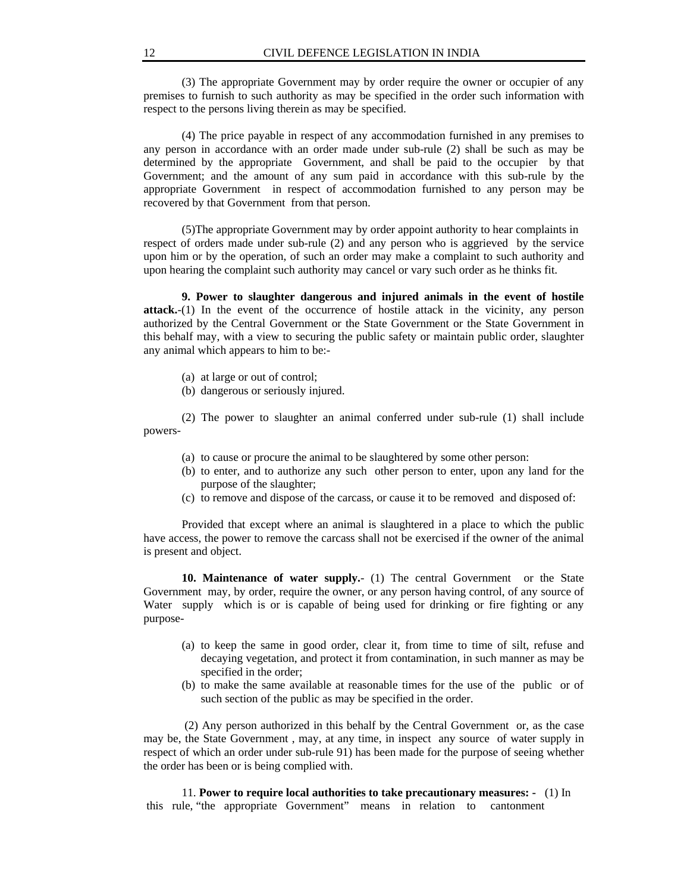(3) The appropriate Government may by order require the owner or occupier of any premises to furnish to such authority as may be specified in the order such information with respect to the persons living therein as may be specified.

 (4) The price payable in respect of any accommodation furnished in any premises to any person in accordance with an order made under sub-rule (2) shall be such as may be determined by the appropriate Government, and shall be paid to the occupier by that Government; and the amount of any sum paid in accordance with this sub-rule by the appropriate Government in respect of accommodation furnished to any person may be recovered by that Government from that person.

(5)The appropriate Government may by order appoint authority to hear complaints in respect of orders made under sub-rule (2) and any person who is aggrieved by the service upon him or by the operation, of such an order may make a complaint to such authority and upon hearing the complaint such authority may cancel or vary such order as he thinks fit.

**9. Power to slaughter dangerous and injured animals in the event of hostile attack.**-(1) In the event of the occurrence of hostile attack in the vicinity, any person authorized by the Central Government or the State Government or the State Government in this behalf may, with a view to securing the public safety or maintain public order, slaughter any animal which appears to him to be:-

- (a) at large or out of control;
- (b) dangerous or seriously injured.

(2) The power to slaughter an animal conferred under sub-rule (1) shall include powers-

- (a) to cause or procure the animal to be slaughtered by some other person:
- (b) to enter, and to authorize any such other person to enter, upon any land for the purpose of the slaughter;
- (c) to remove and dispose of the carcass, or cause it to be removed and disposed of:

Provided that except where an animal is slaughtered in a place to which the public have access, the power to remove the carcass shall not be exercised if the owner of the animal is present and object.

**10. Maintenance of water supply.**- (1) The central Government or the State Government may, by order, require the owner, or any person having control, of any source of Water supply which is or is capable of being used for drinking or fire fighting or any purpose-

- (a) to keep the same in good order, clear it, from time to time of silt, refuse and decaying vegetation, and protect it from contamination, in such manner as may be specified in the order;
- (b) to make the same available at reasonable times for the use of the public or of such section of the public as may be specified in the order.

 (2) Any person authorized in this behalf by the Central Government or, as the case may be, the State Government , may, at any time, in inspect any source of water supply in respect of which an order under sub-rule 91) has been made for the purpose of seeing whether the order has been or is being complied with.

11. **Power to require local authorities to take precautionary measures: -** (1) In this rule, "the appropriate Government" means in relation to cantonment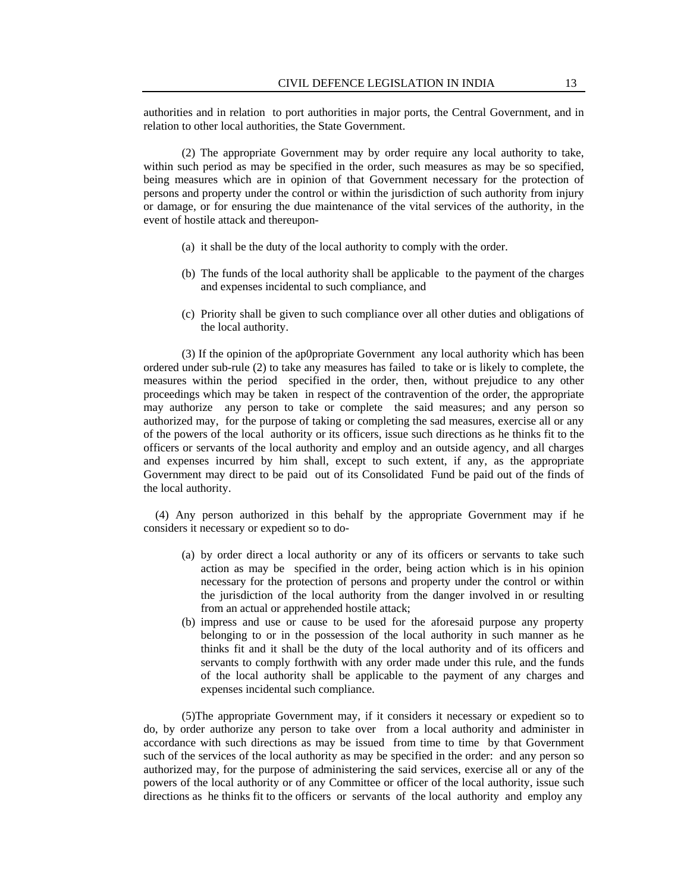authorities and in relation to port authorities in major ports, the Central Government, and in relation to other local authorities, the State Government.

(2) The appropriate Government may by order require any local authority to take, within such period as may be specified in the order, such measures as may be so specified, being measures which are in opinion of that Government necessary for the protection of persons and property under the control or within the jurisdiction of such authority from injury or damage, or for ensuring the due maintenance of the vital services of the authority, in the event of hostile attack and thereupon-

- (a) it shall be the duty of the local authority to comply with the order.
- (b) The funds of the local authority shall be applicable to the payment of the charges and expenses incidental to such compliance, and
- (c) Priority shall be given to such compliance over all other duties and obligations of the local authority.

(3) If the opinion of the ap0propriate Government any local authority which has been ordered under sub-rule (2) to take any measures has failed to take or is likely to complete, the measures within the period specified in the order, then, without prejudice to any other proceedings which may be taken in respect of the contravention of the order, the appropriate may authorize any person to take or complete the said measures; and any person so authorized may, for the purpose of taking or completing the sad measures, exercise all or any of the powers of the local authority or its officers, issue such directions as he thinks fit to the officers or servants of the local authority and employ and an outside agency, and all charges and expenses incurred by him shall, except to such extent, if any, as the appropriate Government may direct to be paid out of its Consolidated Fund be paid out of the finds of the local authority.

 (4) Any person authorized in this behalf by the appropriate Government may if he considers it necessary or expedient so to do-

- (a) by order direct a local authority or any of its officers or servants to take such action as may be specified in the order, being action which is in his opinion necessary for the protection of persons and property under the control or within the jurisdiction of the local authority from the danger involved in or resulting from an actual or apprehended hostile attack;
- (b) impress and use or cause to be used for the aforesaid purpose any property belonging to or in the possession of the local authority in such manner as he thinks fit and it shall be the duty of the local authority and of its officers and servants to comply forthwith with any order made under this rule, and the funds of the local authority shall be applicable to the payment of any charges and expenses incidental such compliance.

(5)The appropriate Government may, if it considers it necessary or expedient so to do, by order authorize any person to take over from a local authority and administer in accordance with such directions as may be issued from time to time by that Government such of the services of the local authority as may be specified in the order: and any person so authorized may, for the purpose of administering the said services, exercise all or any of the powers of the local authority or of any Committee or officer of the local authority, issue such directions as he thinks fit to the officers or servants of the local authority and employ any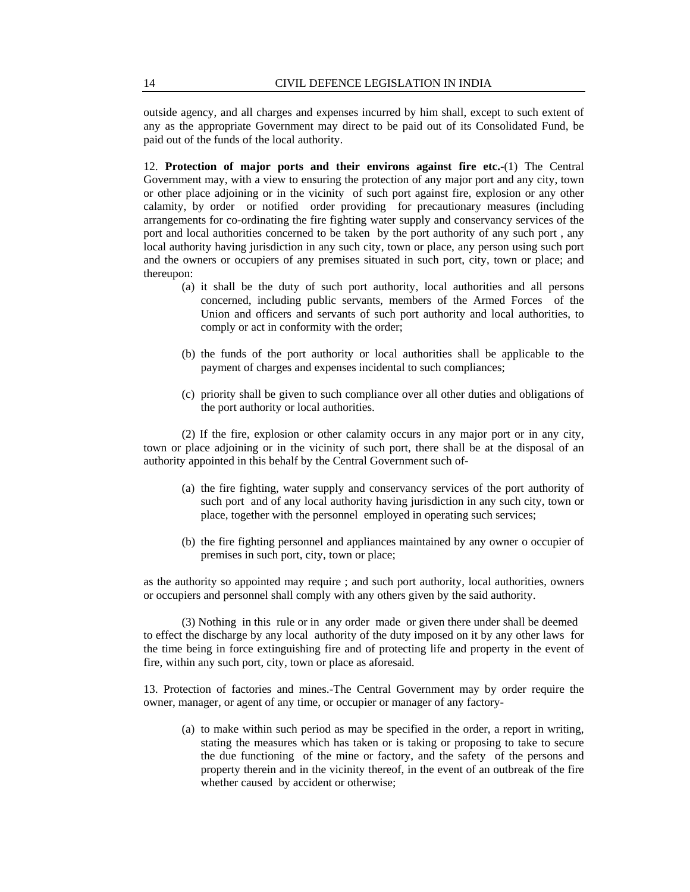outside agency, and all charges and expenses incurred by him shall, except to such extent of any as the appropriate Government may direct to be paid out of its Consolidated Fund, be paid out of the funds of the local authority.

12. **Protection of major ports and their environs against fire etc.**-(1) The Central Government may, with a view to ensuring the protection of any major port and any city, town or other place adjoining or in the vicinity of such port against fire, explosion or any other calamity, by order or notified order providing for precautionary measures (including arrangements for co-ordinating the fire fighting water supply and conservancy services of the port and local authorities concerned to be taken by the port authority of any such port , any local authority having jurisdiction in any such city, town or place, any person using such port and the owners or occupiers of any premises situated in such port, city, town or place; and thereupon:

- (a) it shall be the duty of such port authority, local authorities and all persons concerned, including public servants, members of the Armed Forces of the Union and officers and servants of such port authority and local authorities, to comply or act in conformity with the order;
- (b) the funds of the port authority or local authorities shall be applicable to the payment of charges and expenses incidental to such compliances;
- (c) priority shall be given to such compliance over all other duties and obligations of the port authority or local authorities.

(2) If the fire, explosion or other calamity occurs in any major port or in any city, town or place adjoining or in the vicinity of such port, there shall be at the disposal of an authority appointed in this behalf by the Central Government such of-

- (a) the fire fighting, water supply and conservancy services of the port authority of such port and of any local authority having jurisdiction in any such city, town or place, together with the personnel employed in operating such services;
- (b) the fire fighting personnel and appliances maintained by any owner o occupier of premises in such port, city, town or place;

as the authority so appointed may require ; and such port authority, local authorities, owners or occupiers and personnel shall comply with any others given by the said authority.

(3) Nothing in this rule or in any order made or given there under shall be deemed to effect the discharge by any local authority of the duty imposed on it by any other laws for the time being in force extinguishing fire and of protecting life and property in the event of fire, within any such port, city, town or place as aforesaid.

13. Protection of factories and mines.-The Central Government may by order require the owner, manager, or agent of any time, or occupier or manager of any factory-

(a) to make within such period as may be specified in the order, a report in writing, stating the measures which has taken or is taking or proposing to take to secure the due functioning of the mine or factory, and the safety of the persons and property therein and in the vicinity thereof, in the event of an outbreak of the fire whether caused by accident or otherwise;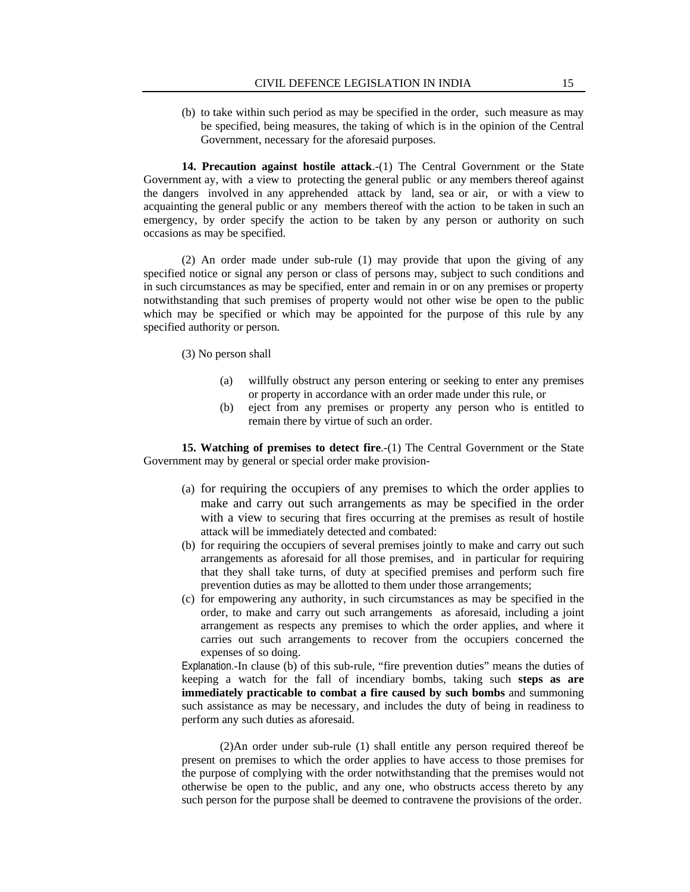(b) to take within such period as may be specified in the order, such measure as may be specified, being measures, the taking of which is in the opinion of the Central Government, necessary for the aforesaid purposes.

**14. Precaution against hostile attack**.-(1) The Central Government or the State Government ay, with a view to protecting the general public or any members thereof against the dangers involved in any apprehended attack by land, sea or air, or with a view to acquainting the general public or any members thereof with the action to be taken in such an emergency, by order specify the action to be taken by any person or authority on such occasions as may be specified.

(2) An order made under sub-rule (1) may provide that upon the giving of any specified notice or signal any person or class of persons may, subject to such conditions and in such circumstances as may be specified, enter and remain in or on any premises or property notwithstanding that such premises of property would not other wise be open to the public which may be specified or which may be appointed for the purpose of this rule by any specified authority or person.

(3) No person shall

- (a) willfully obstruct any person entering or seeking to enter any premises or property in accordance with an order made under this rule, or
- (b) eject from any premises or property any person who is entitled to remain there by virtue of such an order.

**15. Watching of premises to detect fire**.-(1) The Central Government or the State Government may by general or special order make provision-

- (a) for requiring the occupiers of any premises to which the order applies to make and carry out such arrangements as may be specified in the order with a view to securing that fires occurring at the premises as result of hostile attack will be immediately detected and combated:
- (b) for requiring the occupiers of several premises jointly to make and carry out such arrangements as aforesaid for all those premises, and in particular for requiring that they shall take turns, of duty at specified premises and perform such fire prevention duties as may be allotted to them under those arrangements;
- (c) for empowering any authority, in such circumstances as may be specified in the order, to make and carry out such arrangements as aforesaid, including a joint arrangement as respects any premises to which the order applies, and where it carries out such arrangements to recover from the occupiers concerned the expenses of so doing.

Explanation.-In clause (b) of this sub-rule, "fire prevention duties" means the duties of keeping a watch for the fall of incendiary bombs, taking such **steps as are immediately practicable to combat a fire caused by such bombs** and summoning such assistance as may be necessary, and includes the duty of being in readiness to perform any such duties as aforesaid.

(2)An order under sub-rule (1) shall entitle any person required thereof be present on premises to which the order applies to have access to those premises for the purpose of complying with the order notwithstanding that the premises would not otherwise be open to the public, and any one, who obstructs access thereto by any such person for the purpose shall be deemed to contravene the provisions of the order.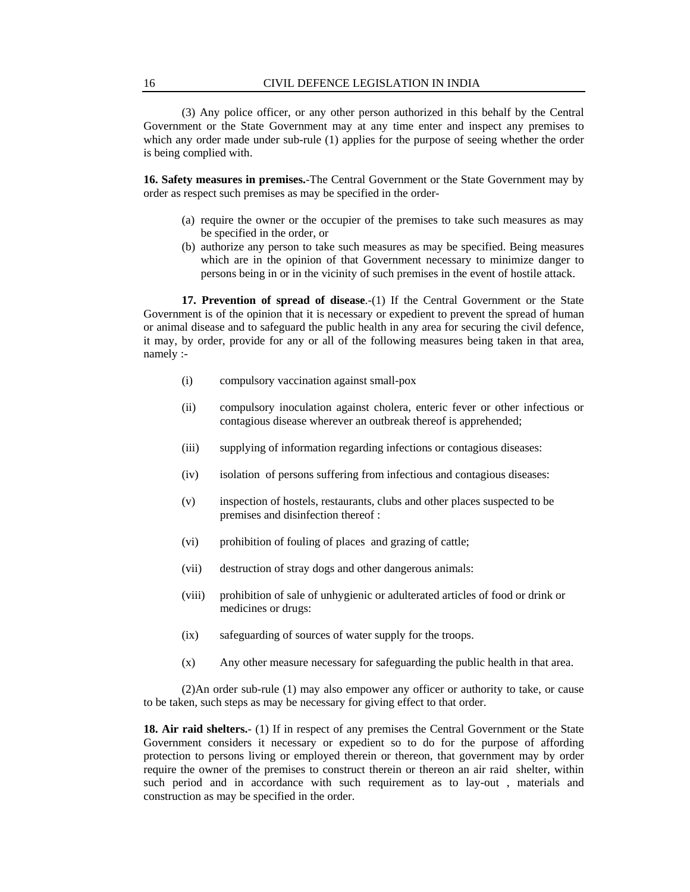(3) Any police officer, or any other person authorized in this behalf by the Central Government or the State Government may at any time enter and inspect any premises to which any order made under sub-rule (1) applies for the purpose of seeing whether the order is being complied with.

**16. Safety measures in premises.**-The Central Government or the State Government may by order as respect such premises as may be specified in the order-

- (a) require the owner or the occupier of the premises to take such measures as may be specified in the order, or
- (b) authorize any person to take such measures as may be specified. Being measures which are in the opinion of that Government necessary to minimize danger to persons being in or in the vicinity of such premises in the event of hostile attack.

**17. Prevention of spread of disease.**-(1) If the Central Government or the State Government is of the opinion that it is necessary or expedient to prevent the spread of human or animal disease and to safeguard the public health in any area for securing the civil defence, it may, by order, provide for any or all of the following measures being taken in that area, namely :-

- (i) compulsory vaccination against small-pox
- (ii) compulsory inoculation against cholera, enteric fever or other infectious or contagious disease wherever an outbreak thereof is apprehended;
- (iii) supplying of information regarding infections or contagious diseases:
- (iv) isolation of persons suffering from infectious and contagious diseases:
- (v) inspection of hostels, restaurants, clubs and other places suspected to be premises and disinfection thereof :
- (vi) prohibition of fouling of places and grazing of cattle;
- (vii) destruction of stray dogs and other dangerous animals:
- (viii) prohibition of sale of unhygienic or adulterated articles of food or drink or medicines or drugs:
- (ix) safeguarding of sources of water supply for the troops.
- (x) Any other measure necessary for safeguarding the public health in that area.

 (2)An order sub-rule (1) may also empower any officer or authority to take, or cause to be taken, such steps as may be necessary for giving effect to that order.

**18. Air raid shelters.**- (1) If in respect of any premises the Central Government or the State Government considers it necessary or expedient so to do for the purpose of affording protection to persons living or employed therein or thereon, that government may by order require the owner of the premises to construct therein or thereon an air raid shelter, within such period and in accordance with such requirement as to lay-out , materials and construction as may be specified in the order.